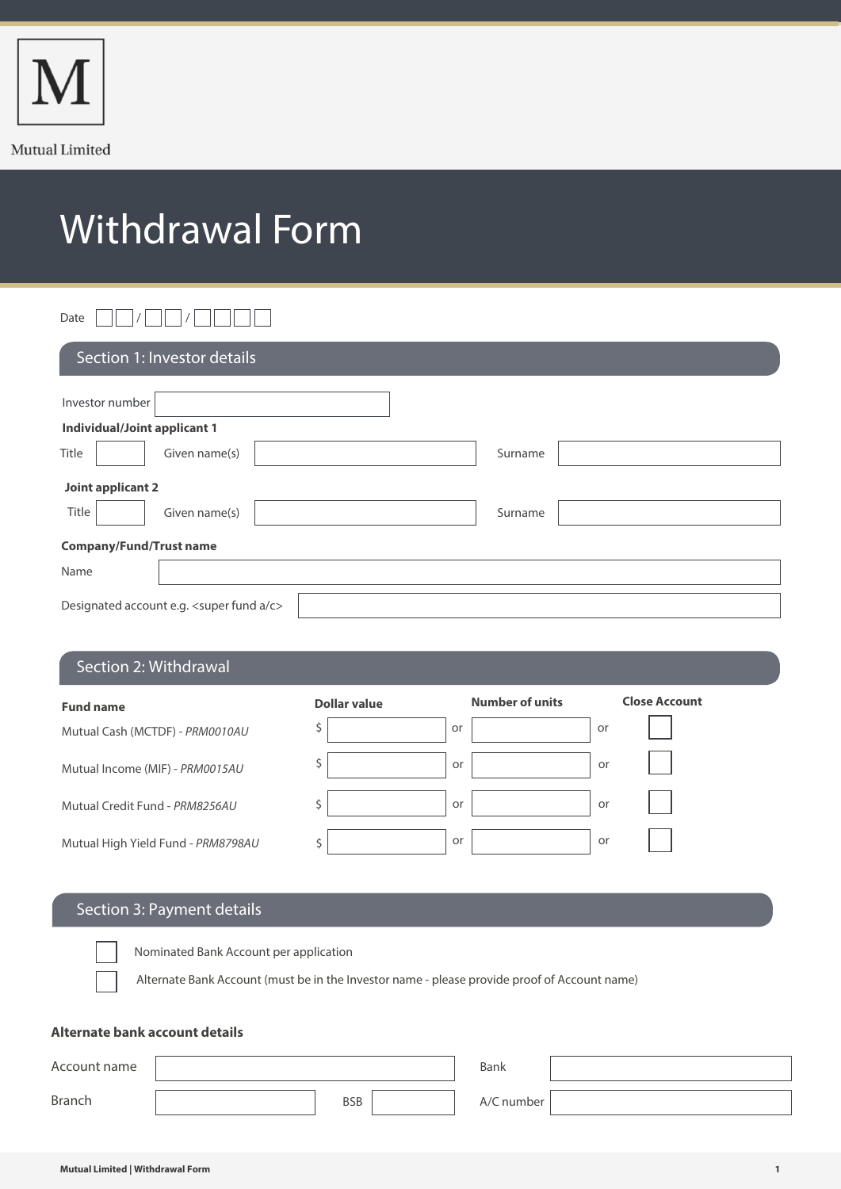

# Withdrawal Form

# Date  $\Box\Box$  /  $\Box\Box$  /  $\Box\Box\Box$

| Section 1: Investor details                               |         |
|-----------------------------------------------------------|---------|
| Investor number                                           |         |
| <b>Individual/Joint applicant 1</b>                       |         |
| Title<br>Given name(s)                                    | Surname |
| Joint applicant 2                                         |         |
| Title<br>Given name(s)                                    | Surname |
| <b>Company/Fund/Trust name</b>                            |         |
| Name                                                      |         |
| Designated account e.g. <super a="" c="" fund=""></super> |         |

## Section 2: Withdrawal

| <b>Fund name</b>                   | Dollar value |    | <b>Number of units</b> |    | <b>Close Account</b> |
|------------------------------------|--------------|----|------------------------|----|----------------------|
| Mutual Cash (MCTDF) - PRM0010AU    |              | or |                        | or |                      |
| Mutual Income (MIF) - PRM0015AU    |              | or |                        | or |                      |
| Mutual Credit Fund - PRM8256AU     |              | or |                        | or |                      |
| Mutual High Yield Fund - PRM8798AU |              | or |                        | or |                      |

# Section 3: Payment details

Nominated Bank Account per application

Alternate Bank Account (must be in the Investor name - please provide proof of Account name)

#### **Alternate bank account details**

| Account name  |            | Bank       |  |
|---------------|------------|------------|--|
| <b>Branch</b> | <b>BSB</b> | A/C number |  |